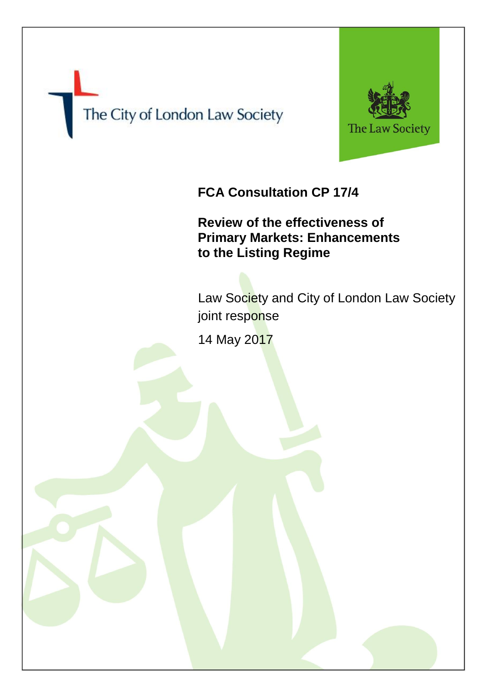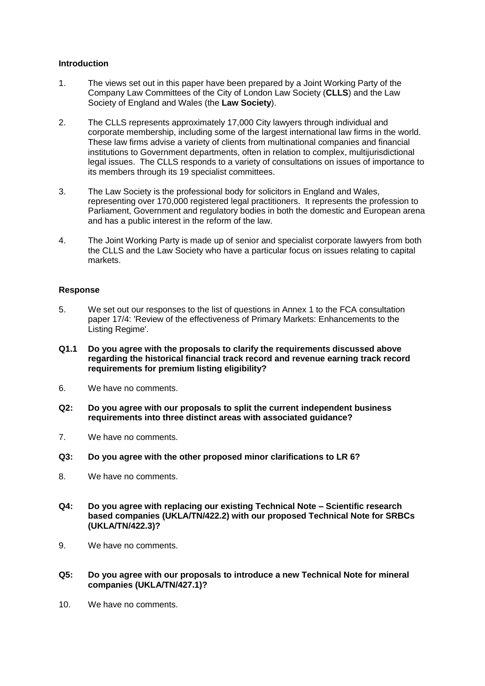## **Introduction**

- 1. The views set out in this paper have been prepared by a Joint Working Party of the Company Law Committees of the City of London Law Society (**CLLS**) and the Law Society of England and Wales (the **Law Society**).
- 2. The CLLS represents approximately 17,000 City lawyers through individual and corporate membership, including some of the largest international law firms in the world. These law firms advise a variety of clients from multinational companies and financial institutions to Government departments, often in relation to complex, multijurisdictional legal issues. The CLLS responds to a variety of consultations on issues of importance to its members through its 19 specialist committees.
- 3. The Law Society is the professional body for solicitors in England and Wales, representing over 170,000 registered legal practitioners. It represents the profession to Parliament, Government and regulatory bodies in both the domestic and European arena and has a public interest in the reform of the law.
- 4. The Joint Working Party is made up of senior and specialist corporate lawyers from both the CLLS and the Law Society who have a particular focus on issues relating to capital markets.

## **Response**

- 5. We set out our responses to the list of questions in Annex 1 to the FCA consultation paper 17/4: 'Review of the effectiveness of Primary Markets: Enhancements to the Listing Regime'.
- **Q1.1 Do you agree with the proposals to clarify the requirements discussed above regarding the historical financial track record and revenue earning track record requirements for premium listing eligibility?**
- 6. We have no comments.
- **Q2: Do you agree with our proposals to split the current independent business requirements into three distinct areas with associated guidance?**
- 7. We have no comments.
- **Q3: Do you agree with the other proposed minor clarifications to LR 6?**
- 8. We have no comments.
- **Q4: Do you agree with replacing our existing Technical Note – Scientific research based companies (UKLA/TN/422.2) with our proposed Technical Note for SRBCs (UKLA/TN/422.3)?**
- 9. We have no comments.

## **Q5: Do you agree with our proposals to introduce a new Technical Note for mineral companies (UKLA/TN/427.1)?**

10. We have no comments.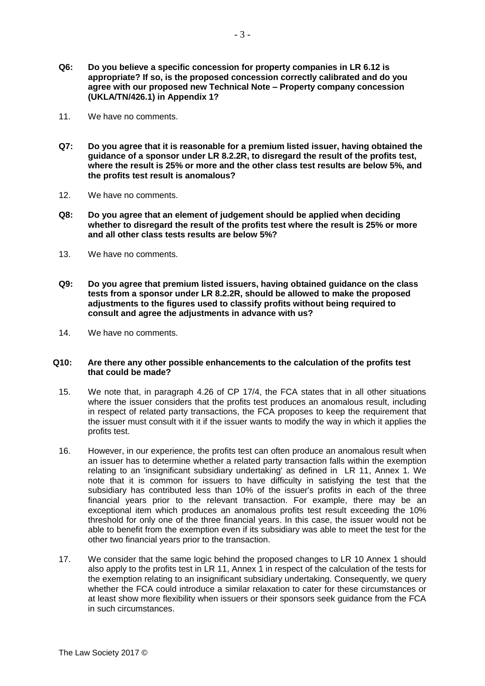- **Q6: Do you believe a specific concession for property companies in LR 6.12 is appropriate? If so, is the proposed concession correctly calibrated and do you agree with our proposed new Technical Note – Property company concession (UKLA/TN/426.1) in Appendix 1?**
- 11. We have no comments.
- **Q7: Do you agree that it is reasonable for a premium listed issuer, having obtained the guidance of a sponsor under LR 8.2.2R, to disregard the result of the profits test, where the result is 25% or more and the other class test results are below 5%, and the profits test result is anomalous?**
- 12. We have no comments.
- **Q8: Do you agree that an element of judgement should be applied when deciding whether to disregard the result of the profits test where the result is 25% or more and all other class tests results are below 5%?**
- 13. We have no comments.
- **Q9: Do you agree that premium listed issuers, having obtained guidance on the class tests from a sponsor under LR 8.2.2R, should be allowed to make the proposed adjustments to the figures used to classify profits without being required to consult and agree the adjustments in advance with us?**
- 14. We have no comments.

## **Q10: Are there any other possible enhancements to the calculation of the profits test that could be made?**

- 15. We note that, in paragraph 4.26 of CP 17/4, the FCA states that in all other situations where the issuer considers that the profits test produces an anomalous result, including in respect of related party transactions, the FCA proposes to keep the requirement that the issuer must consult with it if the issuer wants to modify the way in which it applies the profits test.
- 16. However, in our experience, the profits test can often produce an anomalous result when an issuer has to determine whether a related party transaction falls within the exemption relating to an 'insignificant subsidiary undertaking' as defined in LR 11, Annex 1. We note that it is common for issuers to have difficulty in satisfying the test that the subsidiary has contributed less than 10% of the issuer's profits in each of the three financial years prior to the relevant transaction. For example, there may be an exceptional item which produces an anomalous profits test result exceeding the 10% threshold for only one of the three financial years. In this case, the issuer would not be able to benefit from the exemption even if its subsidiary was able to meet the test for the other two financial years prior to the transaction.
- 17. We consider that the same logic behind the proposed changes to LR 10 Annex 1 should also apply to the profits test in LR 11, Annex 1 in respect of the calculation of the tests for the exemption relating to an insignificant subsidiary undertaking. Consequently, we query whether the FCA could introduce a similar relaxation to cater for these circumstances or at least show more flexibility when issuers or their sponsors seek guidance from the FCA in such circumstances.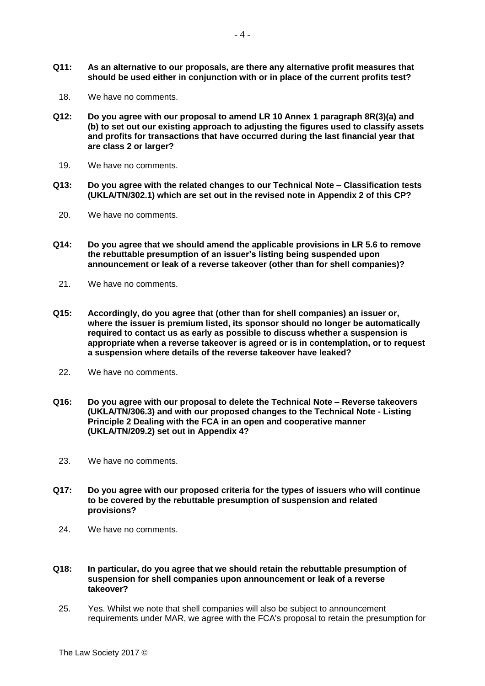- **Q11: As an alternative to our proposals, are there any alternative profit measures that should be used either in conjunction with or in place of the current profits test?**
- 18. We have no comments.
- **Q12: Do you agree with our proposal to amend LR 10 Annex 1 paragraph 8R(3)(a) and (b) to set out our existing approach to adjusting the figures used to classify assets and profits for transactions that have occurred during the last financial year that are class 2 or larger?**
	- 19. We have no comments.
- **Q13: Do you agree with the related changes to our Technical Note – Classification tests (UKLA/TN/302.1) which are set out in the revised note in Appendix 2 of this CP?**
- 20. We have no comments.
- **Q14: Do you agree that we should amend the applicable provisions in LR 5.6 to remove the rebuttable presumption of an issuer's listing being suspended upon announcement or leak of a reverse takeover (other than for shell companies)?**
	- 21. We have no comments.
- **Q15: Accordingly, do you agree that (other than for shell companies) an issuer or, where the issuer is premium listed, its sponsor should no longer be automatically required to contact us as early as possible to discuss whether a suspension is appropriate when a reverse takeover is agreed or is in contemplation, or to request a suspension where details of the reverse takeover have leaked?**
- 22. We have no comments.
- **Q16: Do you agree with our proposal to delete the Technical Note – Reverse takeovers (UKLA/TN/306.3) and with our proposed changes to the Technical Note - Listing Principle 2 Dealing with the FCA in an open and cooperative manner (UKLA/TN/209.2) set out in Appendix 4?**
- 23. We have no comments.
- **Q17: Do you agree with our proposed criteria for the types of issuers who will continue to be covered by the rebuttable presumption of suspension and related provisions?**
	- 24. We have no comments.
- **Q18: In particular, do you agree that we should retain the rebuttable presumption of suspension for shell companies upon announcement or leak of a reverse takeover?**
- 25. Yes. Whilst we note that shell companies will also be subject to announcement requirements under MAR, we agree with the FCA's proposal to retain the presumption for